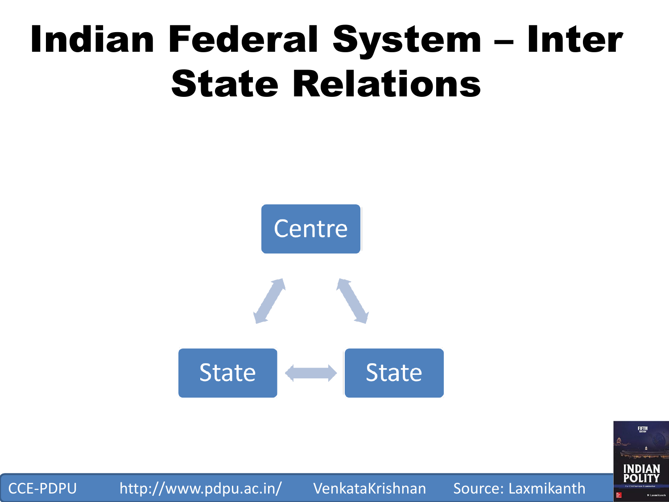# Indian Federal System – Inter State Relations



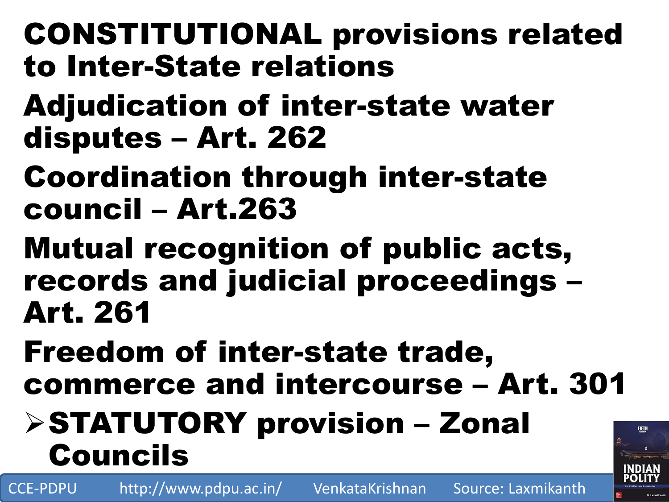## CONSTITUTIONAL provisions related to Inter-State relations

- Adjudication of inter-state water disputes – Art. 262
- Coordination through inter-state council – Art.263
- Mutual recognition of public acts, records and judicial proceedings – Art. 261
- Freedom of inter-state trade, commerce and intercourse – Art. 301

## STATUTORY provision – Zonal Councils

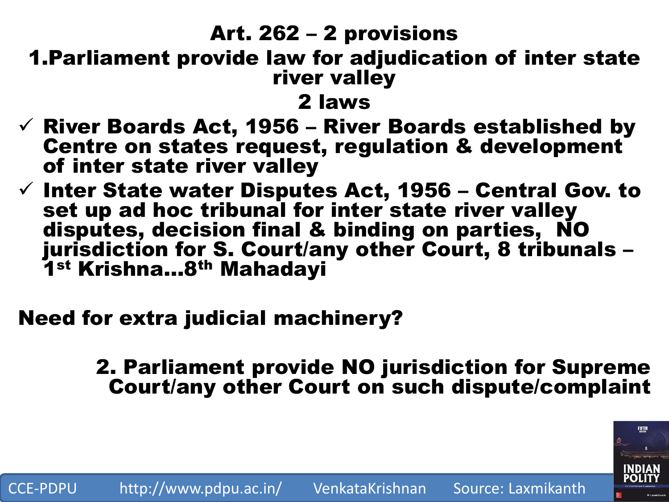## Art. 262 – 2 provisions

### 1.Parliament provide law for adjudication of inter state river valley

2 laws

- $\checkmark$  River Boards Act, 1956 River Boards established by Centre on states request, regulation & development of inter state river valley
- $\checkmark$  Inter State water Disputes Act, 1956 Central Gov. to set up ad hoc tribunal for inter state river valley disputes, decision final & binding on parties, NO jurisdiction for S. Court/any other Court, 8 tribunals – 1st Krishna…8th Mahadayi

CCE-PDPU http://www.pdpu.ac.in/ VenkataKrishnan Source: Laxmikanth

### Need for extra judicial machinery?

### 2. Parliament provide NO jurisdiction for Supreme Court/any other Court on such dispute/complaint

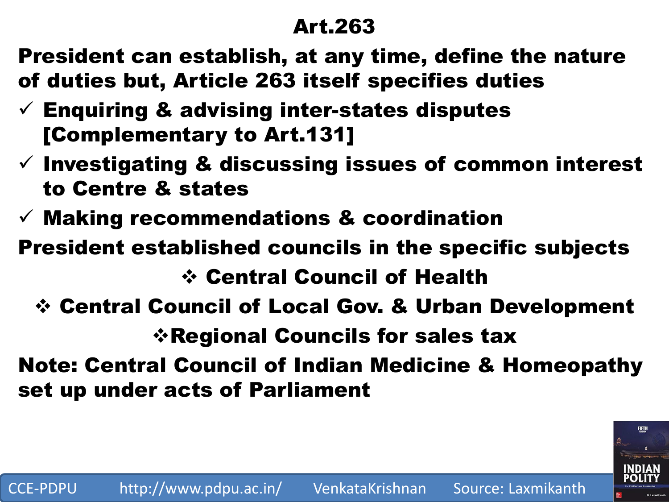## Art.263

President can establish, at any time, define the nature of duties but, Article 263 itself specifies duties

- $\checkmark$  Enquiring & advising inter-states disputes [Complementary to Art.131]
- $\checkmark$  Investigating & discussing issues of common interest to Centre & states
- $\checkmark$  Making recommendations & coordination

President established councils in the specific subjects Central Council of Health

Central Council of Local Gov. & Urban Development

Regional Councils for sales tax

Note: Central Council of Indian Medicine & Homeopathy set up under acts of Parliament

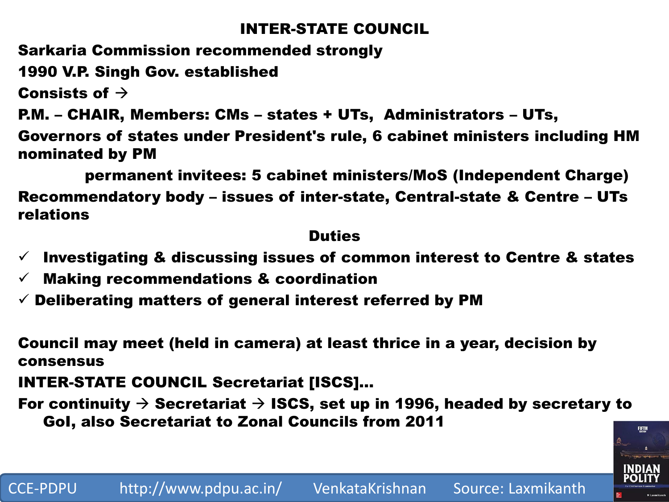#### INTER-STATE COUNCIL

Sarkaria Commission recommended strongly

1990 V.P. Singh Gov. established

Consists of  $\rightarrow$ 

P.M. – CHAIR, Members: CMs – states + UTs, Administrators – UTs,

Governors of states under President's rule, 6 cabinet ministers including HM nominated by PM

permanent invitees: 5 cabinet ministers/MoS (Independent Charge) Recommendatory body – issues of inter-state, Central-state & Centre – UTs relations

#### **Duties**

- $\checkmark$  Investigating & discussing issues of common interest to Centre & states
- $\checkmark$  Making recommendations & coordination
- $\checkmark$  Deliberating matters of general interest referred by PM

Council may meet (held in camera) at least thrice in a year, decision by consensus

CCE-PDPU http://www.pdpu.ac.in/ VenkataKrishnan Source: Laxmikanth

INTER-STATE COUNCIL Secretariat [ISCS]…

For continuity  $\rightarrow$  Secretariat  $\rightarrow$  ISCS, set up in 1996, headed by secretary to GoI, also Secretariat to Zonal Councils from 2011

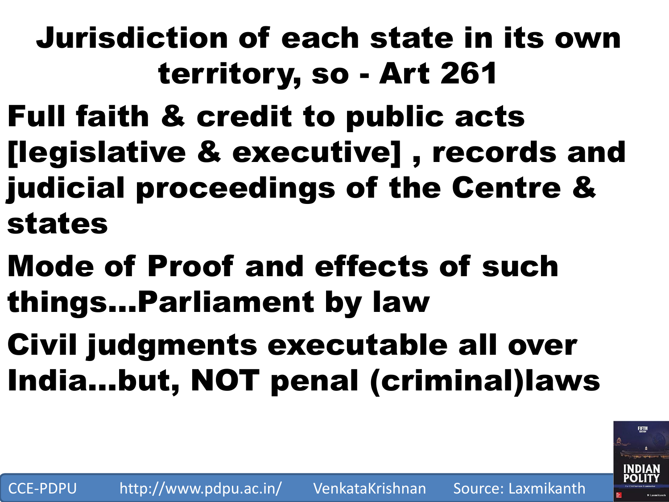## Jurisdiction of each state in its own territory, so - Art 261

- Full faith & credit to public acts
- [legislative & executive] , records and judicial proceedings of the Centre & states
- Mode of Proof and effects of such things…Parliament by law
- Civil judgments executable all over India…but, NOT penal (criminal)laws

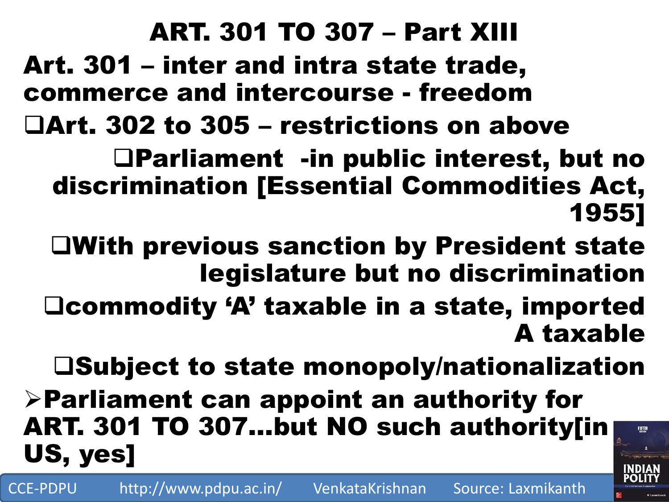## ART. 301 TO 307 – Part XIII

Art. 301 – inter and intra state trade, commerce and intercourse - freedom

Art. 302 to 305 – restrictions on above

Parliament -in public interest, but no discrimination [Essential Commodities Act, 1955]

With previous sanction by President state legislature but no discrimination

Deommodity 'A' taxable in a state, imported A taxable

Subject to state monopoly/nationalization

 $\triangleright$  Parliament can appoint an authority for ART. 301 TO 307…but NO such authority[in US, yes]

CCE-PDPU http://www.pdpu.ac.in/ VenkataKrishnan Source: Laxmikanth

FIFTH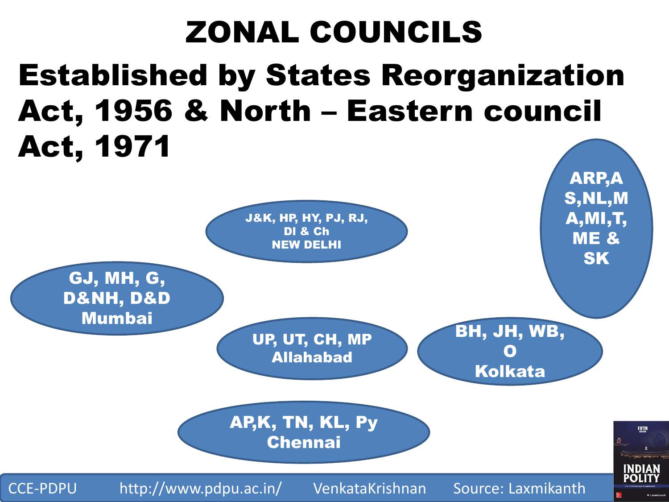# ZONAL COUNCILS Established by States Reorganization Act, 1956 & North – Eastern council Act, 1971